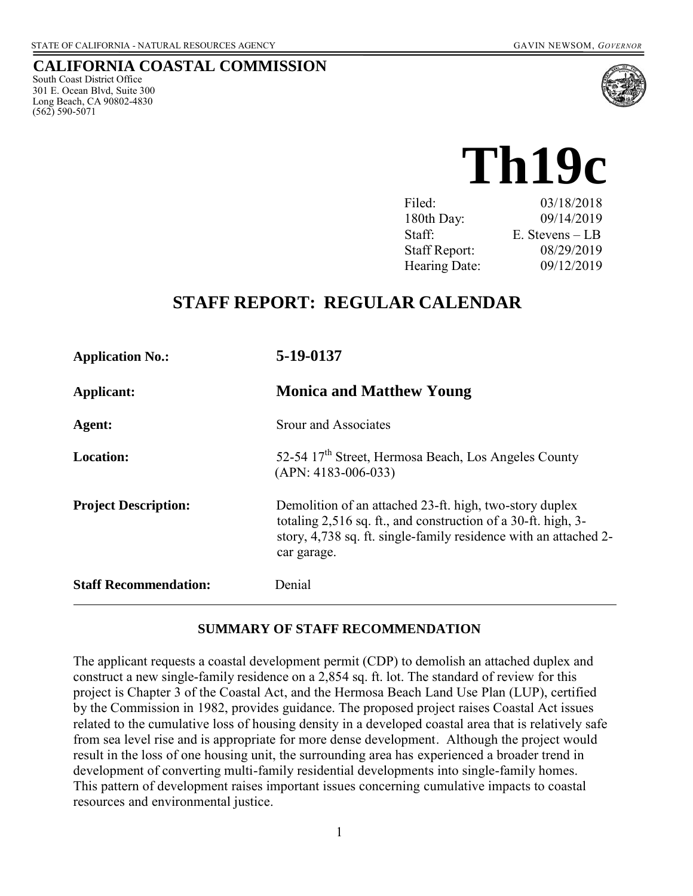## **CALIFORNIA COASTAL COMMISSION**

South Coast District Office 301 E. Ocean Blvd, Suite 300 Long Beach, CA 90802-4830 (562) 590-5071



# **Th19c**

| Filed:               | 03/18/2018      |
|----------------------|-----------------|
| 180th Day:           | 09/14/2019      |
| Staff:               | E. Stevens – LB |
| <b>Staff Report:</b> | 08/29/2019      |
| Hearing Date:        | 09/12/2019      |

## **STAFF REPORT: REGULAR CALENDAR**

| <b>Application No.:</b>      | 5-19-0137<br><b>Monica and Matthew Young</b>                                                                                                                                                                |  |
|------------------------------|-------------------------------------------------------------------------------------------------------------------------------------------------------------------------------------------------------------|--|
| Applicant:                   |                                                                                                                                                                                                             |  |
| Agent:                       | <b>Srour and Associates</b>                                                                                                                                                                                 |  |
| <b>Location:</b>             | 52-54 17 <sup>th</sup> Street, Hermosa Beach, Los Angeles County<br>$(APN: 4183-006-033)$                                                                                                                   |  |
| <b>Project Description:</b>  | Demolition of an attached 23-ft. high, two-story duplex<br>totaling 2,516 sq. ft., and construction of a 30-ft. high, 3-<br>story, 4,738 sq. ft. single-family residence with an attached 2-<br>car garage. |  |
| <b>Staff Recommendation:</b> | Denial                                                                                                                                                                                                      |  |

#### **SUMMARY OF STAFF RECOMMENDATION**

The applicant requests a coastal development permit (CDP) to demolish an attached duplex and construct a new single-family residence on a 2,854 sq. ft. lot. The standard of review for this project is Chapter 3 of the Coastal Act, and the Hermosa Beach Land Use Plan (LUP), certified by the Commission in 1982, provides guidance. The proposed project raises Coastal Act issues related to the cumulative loss of housing density in a developed coastal area that is relatively safe from sea level rise and is appropriate for more dense development. Although the project would result in the loss of one housing unit, the surrounding area has experienced a broader trend in development of converting multi-family residential developments into single-family homes. This pattern of development raises important issues concerning cumulative impacts to coastal resources and environmental justice.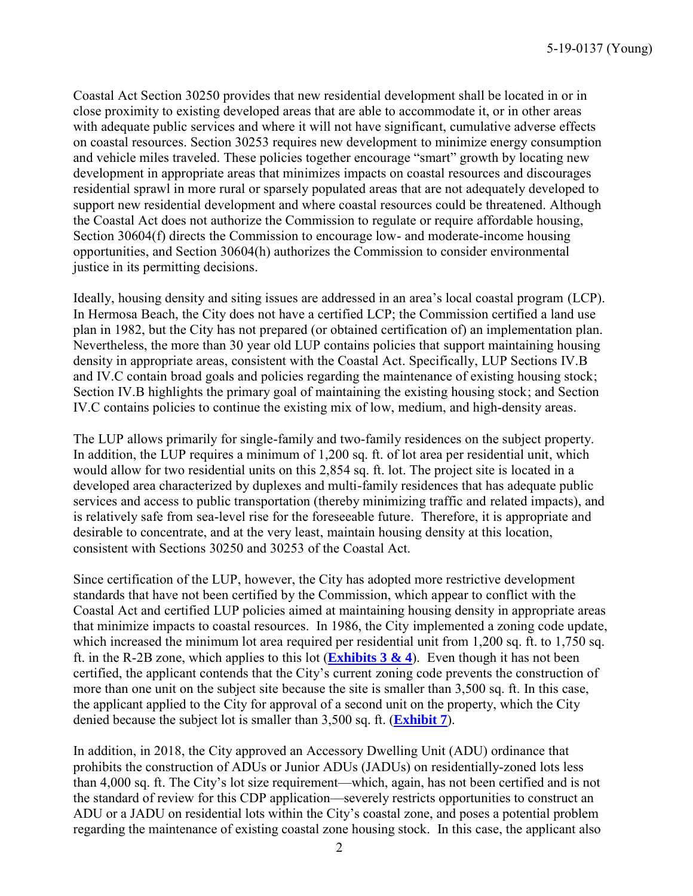Coastal Act Section 30250 provides that new residential development shall be located in or in close proximity to existing developed areas that are able to accommodate it, or in other areas with adequate public services and where it will not have significant, cumulative adverse effects on coastal resources. Section 30253 requires new development to minimize energy consumption and vehicle miles traveled. These policies together encourage "smart" growth by locating new development in appropriate areas that minimizes impacts on coastal resources and discourages residential sprawl in more rural or sparsely populated areas that are not adequately developed to support new residential development and where coastal resources could be threatened. Although the Coastal Act does not authorize the Commission to regulate or require affordable housing, Section 30604(f) directs the Commission to encourage low- and moderate-income housing opportunities, and Section 30604(h) authorizes the Commission to consider environmental justice in its permitting decisions.

Ideally, housing density and siting issues are addressed in an area's local coastal program (LCP). In Hermosa Beach, the City does not have a certified LCP; the Commission certified a land use plan in 1982, but the City has not prepared (or obtained certification of) an implementation plan. Nevertheless, the more than 30 year old LUP contains policies that support maintaining housing density in appropriate areas, consistent with the Coastal Act. Specifically, LUP Sections IV.B and IV.C contain broad goals and policies regarding the maintenance of existing housing stock; Section IV.B highlights the primary goal of maintaining the existing housing stock; and Section IV.C contains policies to continue the existing mix of low, medium, and high-density areas.

The LUP allows primarily for single-family and two-family residences on the subject property. In addition, the LUP requires a minimum of 1,200 sq. ft. of lot area per residential unit, which would allow for two residential units on this 2,854 sq. ft. lot. The project site is located in a developed area characterized by duplexes and multi-family residences that has adequate public services and access to public transportation (thereby minimizing traffic and related impacts), and is relatively safe from sea-level rise for the foreseeable future. Therefore, it is appropriate and desirable to concentrate, and at the very least, maintain housing density at this location, consistent with Sections 30250 and 30253 of the Coastal Act.

Since certification of the LUP, however, the City has adopted more restrictive development standards that have not been certified by the Commission, which appear to conflict with the Coastal Act and certified LUP policies aimed at maintaining housing density in appropriate areas that minimize impacts to coastal resources. In 1986, the City implemented a zoning code update, which increased the minimum lot area required per residential unit from 1,200 sq. ft. to 1,750 sq. ft. in the R-2B zone, which applies to this lot (**[Exhibits 3](https://documents.coastal.ca.gov/reports/2019/9/Th19c/Th19c-9-2019-exhibits.pdf) & 4**). Even though it has not been certified, the applicant contends that the City's current zoning code prevents the construction of more than one unit on the subject site because the site is smaller than 3,500 sq. ft. In this case, the applicant applied to the City for approval of a second unit on the property, which the City denied because the subject lot is smaller than 3,500 sq. ft. (**[Exhibit 7](https://documents.coastal.ca.gov/reports/2019/9/Th19c/Th19c-9-2019-exhibits.pdf)**).

In addition, in 2018, the City approved an Accessory Dwelling Unit (ADU) ordinance that prohibits the construction of ADUs or Junior ADUs (JADUs) on residentially-zoned lots less than 4,000 sq. ft. The City's lot size requirement—which, again, has not been certified and is not the standard of review for this CDP application—severely restricts opportunities to construct an ADU or a JADU on residential lots within the City's coastal zone, and poses a potential problem regarding the maintenance of existing coastal zone housing stock. In this case, the applicant also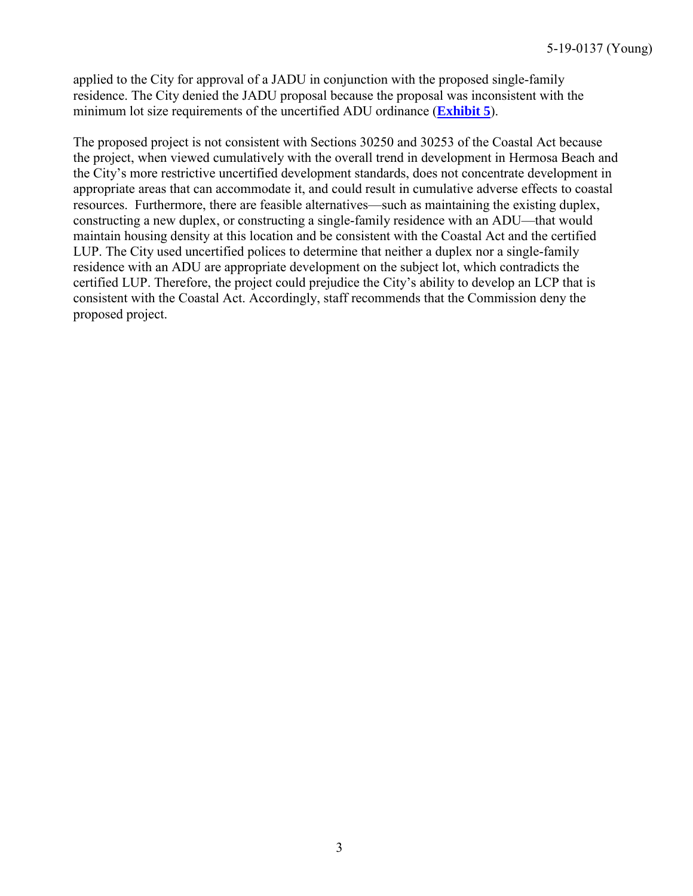applied to the City for approval of a JADU in conjunction with the proposed single-family residence. The City denied the JADU proposal because the proposal was inconsistent with the minimum lot size requirements of the uncertified ADU ordinance (**[Exhibit 5](https://documents.coastal.ca.gov/reports/2019/9/Th19c/Th19c-9-2019-exhibits.pdf)**).

The proposed project is not consistent with Sections 30250 and 30253 of the Coastal Act because the project, when viewed cumulatively with the overall trend in development in Hermosa Beach and the City's more restrictive uncertified development standards, does not concentrate development in appropriate areas that can accommodate it, and could result in cumulative adverse effects to coastal resources. Furthermore, there are feasible alternatives—such as maintaining the existing duplex, constructing a new duplex, or constructing a single-family residence with an ADU—that would maintain housing density at this location and be consistent with the Coastal Act and the certified LUP. The City used uncertified polices to determine that neither a duplex nor a single-family residence with an ADU are appropriate development on the subject lot, which contradicts the certified LUP. Therefore, the project could prejudice the City's ability to develop an LCP that is consistent with the Coastal Act. Accordingly, staff recommends that the Commission deny the proposed project.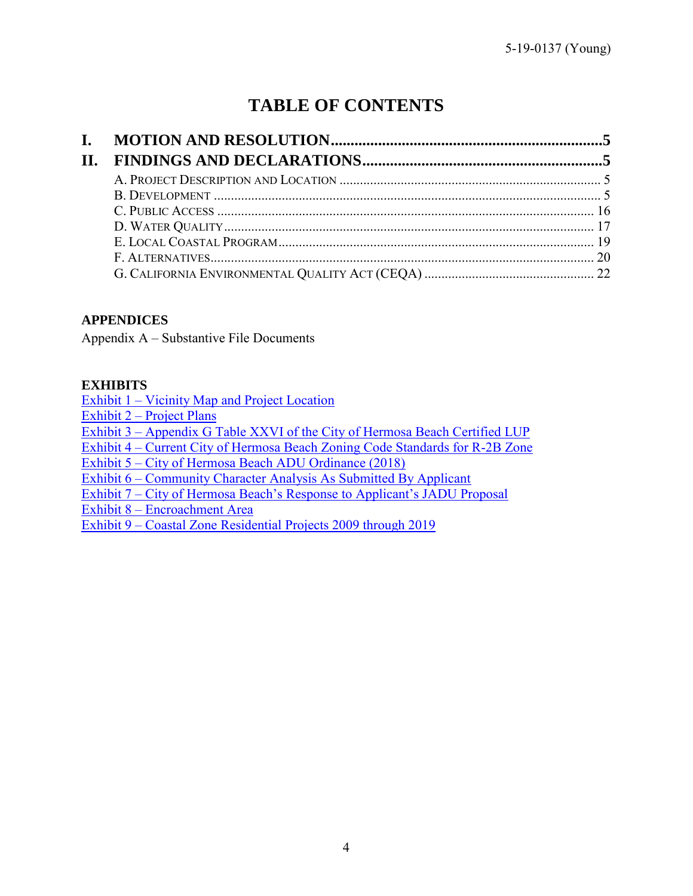# **TABLE OF CONTENTS**

| Н. |  |
|----|--|
|    |  |
|    |  |
|    |  |
|    |  |
|    |  |
|    |  |
|    |  |

## **APPENDICES**

Appendix A – Substantive File Documents

## **EXHIBITS**

[Exhibit 1 – Vicinity Map and Project Location](https://documents.coastal.ca.gov/reports/2019/9/Th19c/Th19c-9-2019-exhibits.pdf)  [Exhibit 2 – Project Plans](https://documents.coastal.ca.gov/reports/2019/9/Th19c/Th19c-9-2019-exhibits.pdf)  Exhibit 3 – Appendix G Table XXVI [of the City of Hermosa Beach Certified LUP](https://documents.coastal.ca.gov/reports/2019/9/Th19c/Th19c-9-2019-exhibits.pdf)  [Exhibit 4 – Current City of Hermosa Beach Zoning Code Standards for R-2B Zone](https://documents.coastal.ca.gov/reports/2019/9/Th19c/Th19c-9-2019-exhibits.pdf)  [Exhibit 5 – City of Hermosa Beach ADU Ordinance \(2018\)](https://documents.coastal.ca.gov/reports/2019/9/Th19c/Th19c-9-2019-exhibits.pdf)  [Exhibit 6 – Community Character Analysis As Submitted By Applicant](https://documents.coastal.ca.gov/reports/2019/9/Th19c/Th19c-9-2019-exhibits.pdf)  [Exhibit 7 – City of Hermosa Beach's Response to Applicant's JADU Proposal](https://documents.coastal.ca.gov/reports/2019/9/Th19c/Th19c-9-2019-exhibits.pdf)  [Exhibit 8 – Encroachment Area](https://documents.coastal.ca.gov/reports/2019/9/Th19c/Th19c-9-2019-exhibits.pdf)  Exhibit 9 – [Coastal Zone Residential Projects 2009 through 2019](https://documents.coastal.ca.gov/reports/2019/9/Th19c/Th19c-9-2019-exhibits.pdf)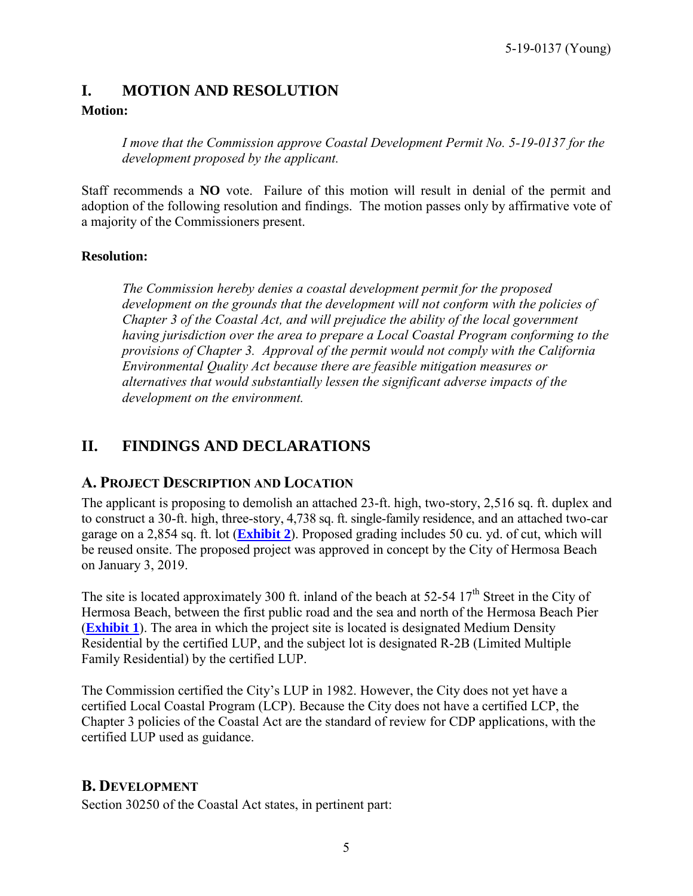## <span id="page-4-0"></span>**I. MOTION AND RESOLUTION**

## **Motion:**

*I move that the Commission approve Coastal Development Permit No. 5-19-0137 for the development proposed by the applicant.* 

Staff recommends a **NO** vote. Failure of this motion will result in denial of the permit and adoption of the following resolution and findings. The motion passes only by affirmative vote of a majority of the Commissioners present.

## **Resolution:**

*The Commission hereby denies a coastal development permit for the proposed development on the grounds that the development will not conform with the policies of Chapter 3 of the Coastal Act, and will prejudice the ability of the local government having jurisdiction over the area to prepare a Local Coastal Program conforming to the provisions of Chapter 3. Approval of the permit would not comply with the California Environmental Quality Act because there are feasible mitigation measures or alternatives that would substantially lessen the significant adverse impacts of the development on the environment.* 

## <span id="page-4-1"></span>**II. FINDINGS AND DECLARATIONS**

## <span id="page-4-2"></span>**A. PROJECT DESCRIPTION AND LOCATION**

The applicant is proposing to demolish an attached 23-ft. high, two-story, 2,516 sq. ft. duplex and to construct a 30-ft. high, three-story, 4,738 sq. ft. single-family residence, and an attached two-car garage on a 2,854 sq. ft. lot (**[Exhibit 2](https://documents.coastal.ca.gov/reports/2019/9/Th19c/Th19c-9-2019-exhibits.pdf)**). Proposed grading includes 50 cu. yd. of cut, which will be reused onsite. The proposed project was approved in concept by the City of Hermosa Beach on January 3, 2019.

The site is located approximately 300 ft. inland of the beach at 52-54  $17<sup>th</sup>$  Street in the City of Hermosa Beach, between the first public road and the sea and north of the Hermosa Beach Pier (**[Exhibit 1](https://documents.coastal.ca.gov/reports/2019/9/Th19c/Th19c-9-2019-exhibits.pdf)**). The area in which the project site is located is designated Medium Density Residential by the certified LUP, and the subject lot is designated R-2B (Limited Multiple Family Residential) by the certified LUP.

The Commission certified the City's LUP in 1982. However, the City does not yet have a certified Local Coastal Program (LCP). Because the City does not have a certified LCP, the Chapter 3 policies of the Coastal Act are the standard of review for CDP applications, with the certified LUP used as guidance.

## <span id="page-4-3"></span>**B. DEVELOPMENT**

Section 30250 of the Coastal Act states, in pertinent part: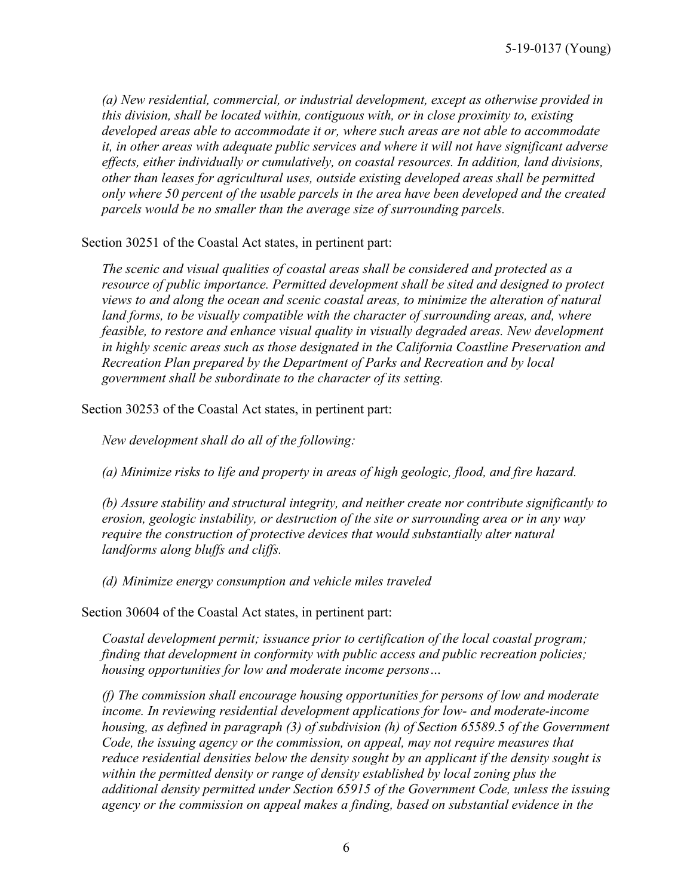*(a) New residential, commercial, or industrial development, except as otherwise provided in this division, shall be located within, contiguous with, or in close proximity to, existing developed areas able to accommodate it or, where such areas are not able to accommodate it, in other areas with adequate public services and where it will not have significant adverse effects, either individually or cumulatively, on coastal resources. In addition, land divisions, other than leases for agricultural uses, outside existing developed areas shall be permitted only where 50 percent of the usable parcels in the area have been developed and the created parcels would be no smaller than the average size of surrounding parcels.* 

Section 30251 of the Coastal Act states, in pertinent part:

*The scenic and visual qualities of coastal areas shall be considered and protected as a resource of public importance. Permitted development shall be sited and designed to protect views to and along the ocean and scenic coastal areas, to minimize the alteration of natural*  land forms, to be visually compatible with the character of surrounding areas, and, where *feasible, to restore and enhance visual quality in visually degraded areas. New development in highly scenic areas such as those designated in the California Coastline Preservation and Recreation Plan prepared by the Department of Parks and Recreation and by local government shall be subordinate to the character of its setting.* 

Section 30253 of the Coastal Act states, in pertinent part:

*New development shall do all of the following:* 

*(a) Minimize risks to life and property in areas of high geologic, flood, and fire hazard.* 

*(b) Assure stability and structural integrity, and neither create nor contribute significantly to erosion, geologic instability, or destruction of the site or surrounding area or in any way require the construction of protective devices that would substantially alter natural landforms along bluffs and cliffs.* 

*(d) Minimize energy consumption and vehicle miles traveled* 

Section 30604 of the Coastal Act states, in pertinent part:

*Coastal development permit; issuance prior to certification of the local coastal program; finding that development in conformity with public access and public recreation policies; housing opportunities for low and moderate income persons…* 

*(f) The commission shall encourage housing opportunities for persons of low and moderate income. In reviewing residential development applications for low- and moderate-income housing, as defined in paragraph (3) of subdivision (h) of Section 65589.5 of the Government Code, the issuing agency or the commission, on appeal, may not require measures that reduce residential densities below the density sought by an applicant if the density sought is within the permitted density or range of density established by local zoning plus the additional density permitted under Section 65915 of the Government Code, unless the issuing agency or the commission on appeal makes a finding, based on substantial evidence in the*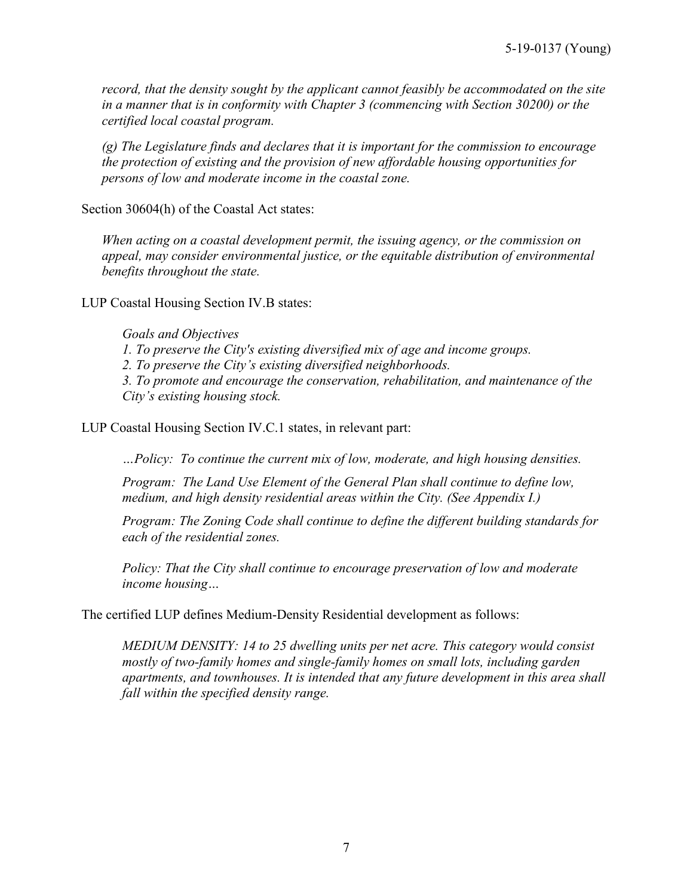*record, that the density sought by the applicant cannot feasibly be accommodated on the site in a manner that is in conformity with Chapter 3 (commencing with Section 30200) or the certified local coastal program.* 

*(g) The Legislature finds and declares that it is important for the commission to encourage the protection of existing and the provision of new affordable housing opportunities for persons of low and moderate income in the coastal zone.* 

Section 30604(h) of the Coastal Act states:

*When acting on a coastal development permit, the issuing agency, or the commission on appeal, may consider environmental justice, or the equitable distribution of environmental benefits throughout the state.* 

LUP Coastal Housing Section IV.B states:

*Goals and Objectives 1. To preserve the City's existing diversified mix of age and income groups. 2. To preserve the City's existing diversified neighborhoods. 3. To promote and encourage the conservation, rehabilitation, and maintenance of the City's existing housing stock.* 

LUP Coastal Housing Section IV.C.1 states, in relevant part:

*…Policy: To continue the current mix of low, moderate, and high housing densities.* 

*Program: The Land Use Element of the General Plan shall continue to define low, medium, and high density residential areas within the City. (See Appendix I.)* 

*Program: The Zoning Code shall continue to define the different building standards for each of the residential zones.* 

*Policy: That the City shall continue to encourage preservation of low and moderate income housing…* 

The certified LUP defines Medium-Density Residential development as follows:

*MEDIUM DENSITY: 14 to 25 dwelling units per net acre. This category would consist mostly of two-family homes and single-family homes on small lots, including garden apartments, and townhouses. It is intended that any future development in this area shall fall within the specified density range.*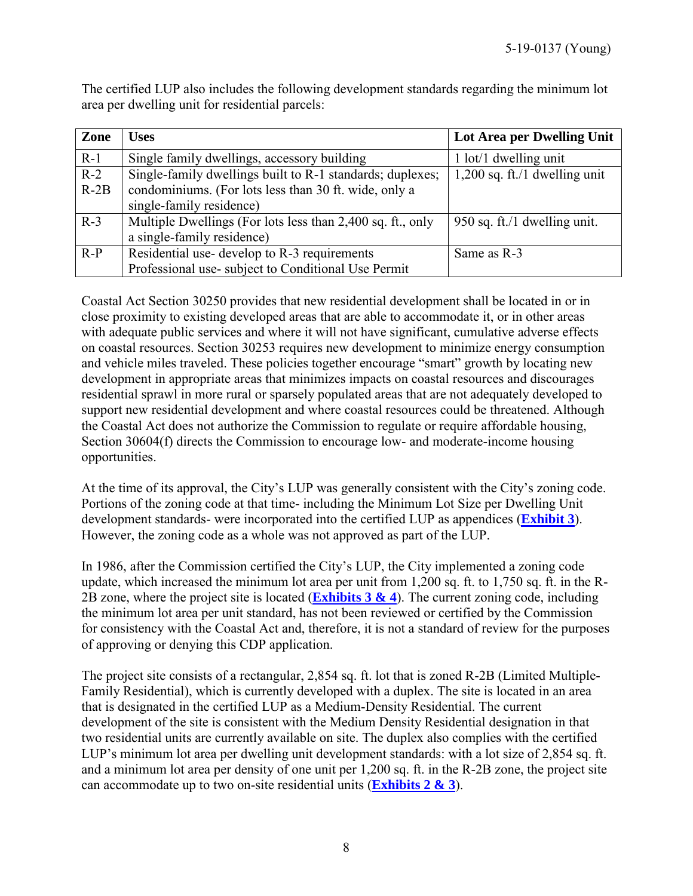The certified LUP also includes the following development standards regarding the minimum lot area per dwelling unit for residential parcels:

| Zone   | <b>Uses</b>                                                | Lot Area per Dwelling Unit      |
|--------|------------------------------------------------------------|---------------------------------|
| $R-1$  | Single family dwellings, accessory building                | $1$ lot/ $1$ dwelling unit      |
| $R-2$  | Single-family dwellings built to R-1 standards; duplexes;  | $1,200$ sq. ft./1 dwelling unit |
| $R-2B$ | condominiums. (For lots less than 30 ft. wide, only a      |                                 |
|        | single-family residence)                                   |                                 |
| $R-3$  | Multiple Dwellings (For lots less than 2,400 sq. ft., only | 950 sq. ft./1 dwelling unit.    |
|        | a single-family residence)                                 |                                 |
| $R-P$  | Residential use-develop to R-3 requirements                | Same as R-3                     |
|        | Professional use-subject to Conditional Use Permit         |                                 |

Coastal Act Section 30250 provides that new residential development shall be located in or in close proximity to existing developed areas that are able to accommodate it, or in other areas with adequate public services and where it will not have significant, cumulative adverse effects on coastal resources. Section 30253 requires new development to minimize energy consumption and vehicle miles traveled. These policies together encourage "smart" growth by locating new development in appropriate areas that minimizes impacts on coastal resources and discourages residential sprawl in more rural or sparsely populated areas that are not adequately developed to support new residential development and where coastal resources could be threatened. Although the Coastal Act does not authorize the Commission to regulate or require affordable housing, Section 30604(f) directs the Commission to encourage low- and moderate-income housing opportunities.

At the time of its approval, the City's LUP was generally consistent with the City's zoning code. Portions of the zoning code at that time- including the Minimum Lot Size per Dwelling Unit development standards- were incorporated into the certified LUP as appendices (**[Exhibit 3](https://documents.coastal.ca.gov/reports/2019/9/Th19c/Th19c-9-2019-exhibits.pdf)**). However, the zoning code as a whole was not approved as part of the LUP.

In 1986, after the Commission certified the City's LUP, the City implemented a zoning code update, which increased the minimum lot area per unit from 1,200 sq. ft. to 1,750 sq. ft. in the R-2B zone, where the project site is located (**[Exhibits 3](https://documents.coastal.ca.gov/reports/2019/9/Th19c/Th19c-9-2019-exhibits.pdf) & 4**). The current zoning code, including the minimum lot area per unit standard, has not been reviewed or certified by the Commission for consistency with the Coastal Act and, therefore, it is not a standard of review for the purposes of approving or denying this CDP application.

The project site consists of a rectangular, 2,854 sq. ft. lot that is zoned R-2B (Limited Multiple-Family Residential), which is currently developed with a duplex. The site is located in an area that is designated in the certified LUP as a Medium-Density Residential. The current development of the site is consistent with the Medium Density Residential designation in that two residential units are currently available on site. The duplex also complies with the certified LUP's minimum lot area per dwelling unit development standards: with a lot size of 2,854 sq. ft. and a minimum lot area per density of one unit per 1,200 sq. ft. in the R-2B zone, the project site can accommodate up to two on-site residential units (**[Exhibits 2 & 3](https://documents.coastal.ca.gov/reports/2019/9/Th19c/Th19c-9-2019-exhibits.pdf)**).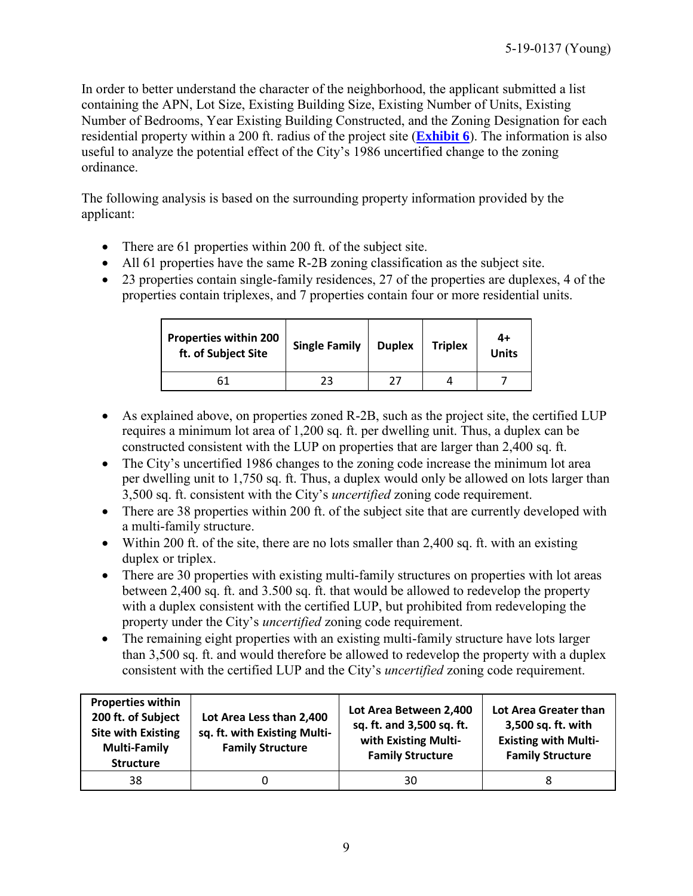In order to better understand the character of the neighborhood, the applicant submitted a list containing the APN, Lot Size, Existing Building Size, Existing Number of Units, Existing Number of Bedrooms, Year Existing Building Constructed, and the Zoning Designation for each residential property within a 200 ft. radius of the project site (**[Exhibit 6](https://documents.coastal.ca.gov/reports/2019/9/Th19c/Th19c-9-2019-exhibits.pdf)**). The information is also useful to analyze the potential effect of the City's 1986 uncertified change to the zoning ordinance.

The following analysis is based on the surrounding property information provided by the applicant:

- There are 61 properties within 200 ft. of the subject site.
- All 61 properties have the same R-2B zoning classification as the subject site.
- 23 properties contain single-family residences, 27 of the properties are duplexes, 4 of the properties contain triplexes, and 7 properties contain four or more residential units.

| <b>Properties within 200</b><br>ft. of Subject Site | <b>Single Family</b> | <b>Duplex</b> | <b>Triplex</b> | 4+<br><b>Units</b> |
|-----------------------------------------------------|----------------------|---------------|----------------|--------------------|
| 61                                                  | フコ                   |               |                |                    |

- As explained above, on properties zoned R-2B, such as the project site, the certified LUP requires a minimum lot area of 1,200 sq. ft. per dwelling unit. Thus, a duplex can be constructed consistent with the LUP on properties that are larger than 2,400 sq. ft.
- The City's uncertified 1986 changes to the zoning code increase the minimum lot area per dwelling unit to 1,750 sq. ft. Thus, a duplex would only be allowed on lots larger than 3,500 sq. ft. consistent with the City's *uncertified* zoning code requirement.
- There are 38 properties within 200 ft. of the subject site that are currently developed with a multi-family structure.
- Within 200 ft. of the site, there are no lots smaller than 2,400 sq. ft. with an existing duplex or triplex.
- There are 30 properties with existing multi-family structures on properties with lot areas between 2,400 sq. ft. and 3.500 sq. ft. that would be allowed to redevelop the property with a duplex consistent with the certified LUP, but prohibited from redeveloping the property under the City's *uncertified* zoning code requirement.
- The remaining eight properties with an existing multi-family structure have lots larger than 3,500 sq. ft. and would therefore be allowed to redevelop the property with a duplex consistent with the certified LUP and the City's *uncertified* zoning code requirement.

| <b>Properties within</b><br>200 ft. of Subject<br><b>Site with Existing</b><br><b>Multi-Family</b><br><b>Structure</b> | Lot Area Less than 2,400<br>sq. ft. with Existing Multi-<br><b>Family Structure</b> | Lot Area Between 2,400<br>sq. ft. and 3,500 sq. ft.<br>with Existing Multi-<br><b>Family Structure</b> | Lot Area Greater than<br>3,500 sq. ft. with<br><b>Existing with Multi-</b><br><b>Family Structure</b> |
|------------------------------------------------------------------------------------------------------------------------|-------------------------------------------------------------------------------------|--------------------------------------------------------------------------------------------------------|-------------------------------------------------------------------------------------------------------|
| 38                                                                                                                     |                                                                                     | 30                                                                                                     |                                                                                                       |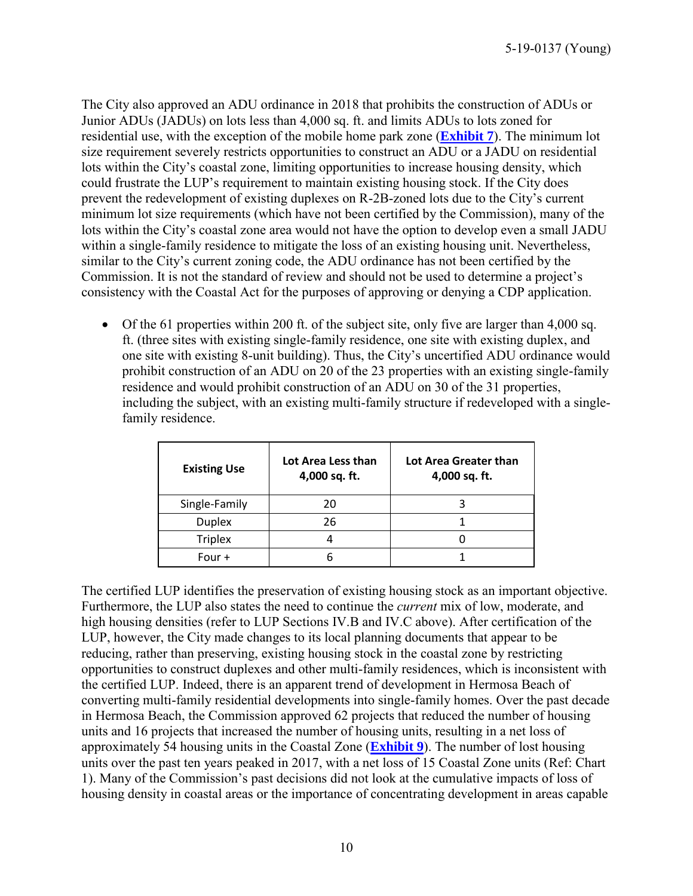The City also approved an ADU ordinance in 2018 that prohibits the construction of ADUs or Junior ADUs (JADUs) on lots less than 4,000 sq. ft. and limits ADUs to lots zoned for residential use, with the exception of the mobile home park zone (**[Exhibit 7](https://documents.coastal.ca.gov/reports/2019/9/Th19c/Th19c-9-2019-exhibits.pdf)**). The minimum lot size requirement severely restricts opportunities to construct an ADU or a JADU on residential lots within the City's coastal zone, limiting opportunities to increase housing density, which could frustrate the LUP's requirement to maintain existing housing stock. If the City does prevent the redevelopment of existing duplexes on R-2B-zoned lots due to the City's current minimum lot size requirements (which have not been certified by the Commission), many of the lots within the City's coastal zone area would not have the option to develop even a small JADU within a single-family residence to mitigate the loss of an existing housing unit. Nevertheless, similar to the City's current zoning code, the ADU ordinance has not been certified by the Commission. It is not the standard of review and should not be used to determine a project's consistency with the Coastal Act for the purposes of approving or denying a CDP application.

 $\bullet$  Of the 61 properties within 200 ft. of the subject site, only five are larger than 4,000 sq. ft. (three sites with existing single-family residence, one site with existing duplex, and one site with existing 8-unit building). Thus, the City's uncertified ADU ordinance would prohibit construction of an ADU on 20 of the 23 properties with an existing single-family residence and would prohibit construction of an ADU on 30 of the 31 properties, including the subject, with an existing multi-family structure if redeveloped with a singlefamily residence.

| <b>Existing Use</b> | Lot Area Less than<br>4,000 sq. ft. | Lot Area Greater than<br>4,000 sq. ft. |
|---------------------|-------------------------------------|----------------------------------------|
| Single-Family       | 20                                  |                                        |
| <b>Duplex</b>       | 26                                  |                                        |
| <b>Triplex</b>      |                                     |                                        |
| Four $+$            |                                     |                                        |

The certified LUP identifies the preservation of existing housing stock as an important objective. Furthermore, the LUP also states the need to continue the *current* mix of low, moderate, and high housing densities (refer to LUP Sections IV.B and IV.C above). After certification of the LUP, however, the City made changes to its local planning documents that appear to be reducing, rather than preserving, existing housing stock in the coastal zone by restricting opportunities to construct duplexes and other multi-family residences, which is inconsistent with the certified LUP. Indeed, there is an apparent trend of development in Hermosa Beach of converting multi-family residential developments into single-family homes. Over the past decade in Hermosa Beach, the Commission approved 62 projects that reduced the number of housing units and 16 projects that increased the number of housing units, resulting in a net loss of approximately 54 housing units in the Coastal Zone (**[Exhibit 9](https://documents.coastal.ca.gov/reports/2019/9/Th19c/Th19c-9-2019-exhibits.pdf)**). The number of lost housing units over the past ten years peaked in 2017, with a net loss of 15 Coastal Zone units (Ref: Chart 1). Many of the Commission's past decisions did not look at the cumulative impacts of loss of housing density in coastal areas or the importance of concentrating development in areas capable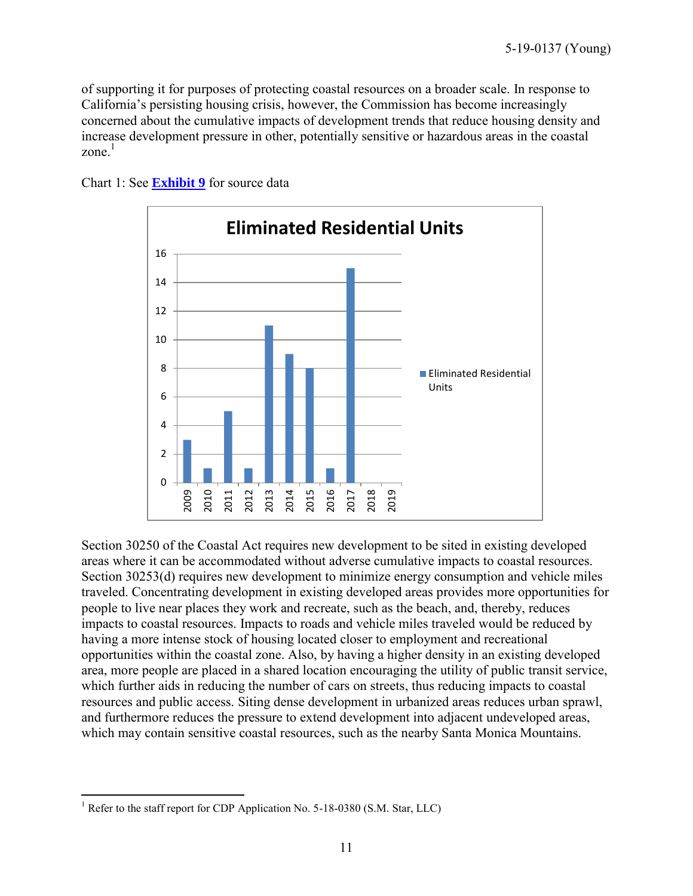of supporting it for purposes of protecting coastal resources on a broader scale. In response to California's persisting housing crisis, however, the Commission has become increasingly concerned about the cumulative impacts of development trends that reduce housing density and increase development pressure in other, potentially sensitive or hazardous areas in the coastal zone $1$ 



Chart 1: See **[Exhibit 9](https://documents.coastal.ca.gov/reports/2019/9/Th19c/Th19c-9-2019-exhibits.pdf)** for source data

Section 30250 of the Coastal Act requires new development to be sited in existing developed areas where it can be accommodated without adverse cumulative impacts to coastal resources. Section 30253(d) requires new development to minimize energy consumption and vehicle miles traveled. Concentrating development in existing developed areas provides more opportunities for people to live near places they work and recreate, such as the beach, and, thereby, reduces impacts to coastal resources. Impacts to roads and vehicle miles traveled would be reduced by having a more intense stock of housing located closer to employment and recreational opportunities within the coastal zone. Also, by having a higher density in an existing developed area, more people are placed in a shared location encouraging the utility of public transit service, which further aids in reducing the number of cars on streets, thus reducing impacts to coastal resources and public access. Siting dense development in urbanized areas reduces urban sprawl, and furthermore reduces the pressure to extend development into adjacent undeveloped areas, which may contain sensitive coastal resources, such as the nearby Santa Monica Mountains.

 $\overline{a}$ <sup>1</sup> Refer to the staff report for CDP Application No. 5-18-0380 (S.M. Star, LLC)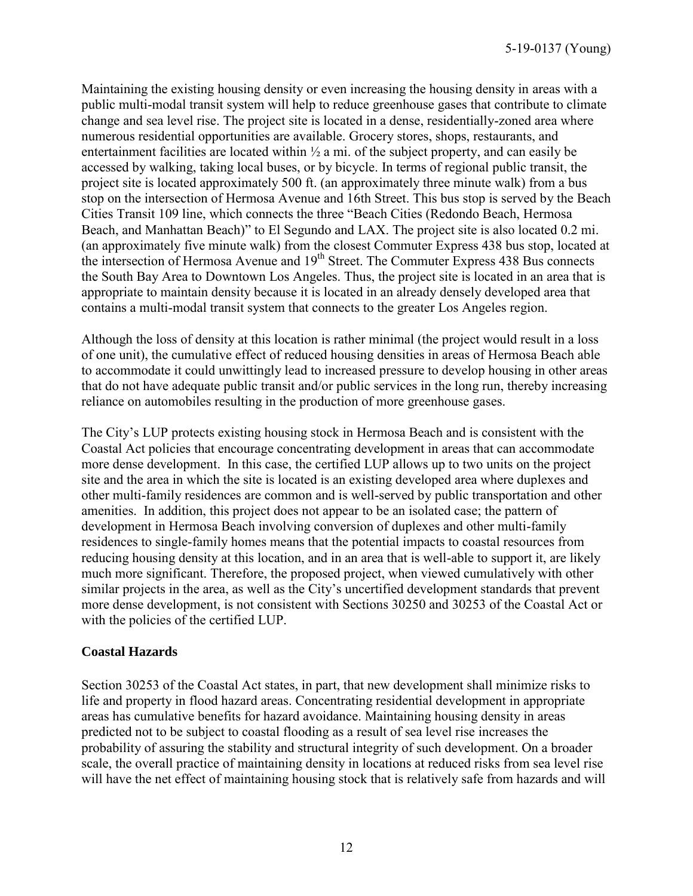Maintaining the existing housing density or even increasing the housing density in areas with a public multi-modal transit system will help to reduce greenhouse gases that contribute to climate change and sea level rise. The project site is located in a dense, residentially-zoned area where numerous residential opportunities are available. Grocery stores, shops, restaurants, and entertainment facilities are located within  $\frac{1}{2}$  a mi. of the subject property, and can easily be accessed by walking, taking local buses, or by bicycle. In terms of regional public transit, the project site is located approximately 500 ft. (an approximately three minute walk) from a bus stop on the intersection of Hermosa Avenue and 16th Street. This bus stop is served by the Beach Cities Transit 109 line, which connects the three "Beach Cities (Redondo Beach, Hermosa Beach, and Manhattan Beach)" to El Segundo and LAX. The project site is also located 0.2 mi. (an approximately five minute walk) from the closest Commuter Express 438 bus stop, located at the intersection of Hermosa Avenue and 19<sup>th</sup> Street. The Commuter Express 438 Bus connects the South Bay Area to Downtown Los Angeles. Thus, the project site is located in an area that is appropriate to maintain density because it is located in an already densely developed area that contains a multi-modal transit system that connects to the greater Los Angeles region.

Although the loss of density at this location is rather minimal (the project would result in a loss of one unit), the cumulative effect of reduced housing densities in areas of Hermosa Beach able to accommodate it could unwittingly lead to increased pressure to develop housing in other areas that do not have adequate public transit and/or public services in the long run, thereby increasing reliance on automobiles resulting in the production of more greenhouse gases.

The City's LUP protects existing housing stock in Hermosa Beach and is consistent with the Coastal Act policies that encourage concentrating development in areas that can accommodate more dense development. In this case, the certified LUP allows up to two units on the project site and the area in which the site is located is an existing developed area where duplexes and other multi-family residences are common and is well-served by public transportation and other amenities. In addition, this project does not appear to be an isolated case; the pattern of development in Hermosa Beach involving conversion of duplexes and other multi-family residences to single-family homes means that the potential impacts to coastal resources from reducing housing density at this location, and in an area that is well-able to support it, are likely much more significant. Therefore, the proposed project, when viewed cumulatively with other similar projects in the area, as well as the City's uncertified development standards that prevent more dense development, is not consistent with Sections 30250 and 30253 of the Coastal Act or with the policies of the certified LUP.

#### **Coastal Hazards**

Section 30253 of the Coastal Act states, in part, that new development shall minimize risks to life and property in flood hazard areas. Concentrating residential development in appropriate areas has cumulative benefits for hazard avoidance. Maintaining housing density in areas predicted not to be subject to coastal flooding as a result of sea level rise increases the probability of assuring the stability and structural integrity of such development. On a broader scale, the overall practice of maintaining density in locations at reduced risks from sea level rise will have the net effect of maintaining housing stock that is relatively safe from hazards and will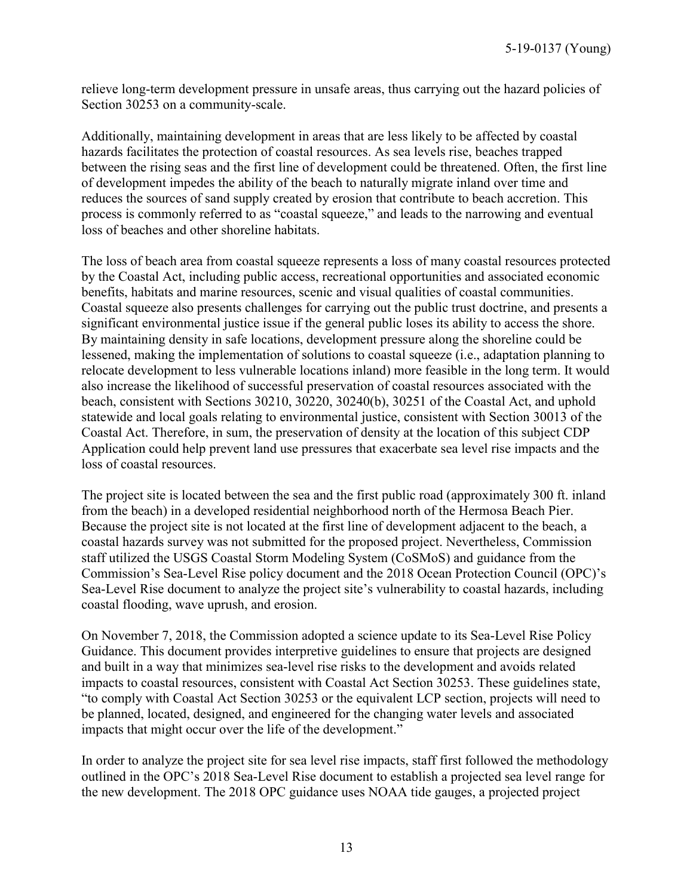relieve long-term development pressure in unsafe areas, thus carrying out the hazard policies of Section 30253 on a community-scale.

Additionally, maintaining development in areas that are less likely to be affected by coastal hazards facilitates the protection of coastal resources. As sea levels rise, beaches trapped between the rising seas and the first line of development could be threatened. Often, the first line of development impedes the ability of the beach to naturally migrate inland over time and reduces the sources of sand supply created by erosion that contribute to beach accretion. This process is commonly referred to as "coastal squeeze," and leads to the narrowing and eventual loss of beaches and other shoreline habitats.

The loss of beach area from coastal squeeze represents a loss of many coastal resources protected by the Coastal Act, including public access, recreational opportunities and associated economic benefits, habitats and marine resources, scenic and visual qualities of coastal communities. Coastal squeeze also presents challenges for carrying out the public trust doctrine, and presents a significant environmental justice issue if the general public loses its ability to access the shore. By maintaining density in safe locations, development pressure along the shoreline could be lessened, making the implementation of solutions to coastal squeeze (i.e., adaptation planning to relocate development to less vulnerable locations inland) more feasible in the long term. It would also increase the likelihood of successful preservation of coastal resources associated with the beach, consistent with Sections 30210, 30220, 30240(b), 30251 of the Coastal Act, and uphold statewide and local goals relating to environmental justice, consistent with Section 30013 of the Coastal Act. Therefore, in sum, the preservation of density at the location of this subject CDP Application could help prevent land use pressures that exacerbate sea level rise impacts and the loss of coastal resources.

The project site is located between the sea and the first public road (approximately 300 ft. inland from the beach) in a developed residential neighborhood north of the Hermosa Beach Pier. Because the project site is not located at the first line of development adjacent to the beach, a coastal hazards survey was not submitted for the proposed project. Nevertheless, Commission staff utilized the USGS Coastal Storm Modeling System (CoSMoS) and guidance from the Commission's Sea-Level Rise policy document and the 2018 Ocean Protection Council (OPC)'s Sea-Level Rise document to analyze the project site's vulnerability to coastal hazards, including coastal flooding, wave uprush, and erosion.

On November 7, 2018, the Commission adopted a science update to its Sea-Level Rise Policy Guidance. This document provides interpretive guidelines to ensure that projects are designed and built in a way that minimizes sea-level rise risks to the development and avoids related impacts to coastal resources, consistent with Coastal Act Section 30253. These guidelines state, "to comply with Coastal Act Section 30253 or the equivalent LCP section, projects will need to be planned, located, designed, and engineered for the changing water levels and associated impacts that might occur over the life of the development."

In order to analyze the project site for sea level rise impacts, staff first followed the methodology outlined in the OPC's 2018 Sea-Level Rise document to establish a projected sea level range for the new development. The 2018 OPC guidance uses NOAA tide gauges, a projected project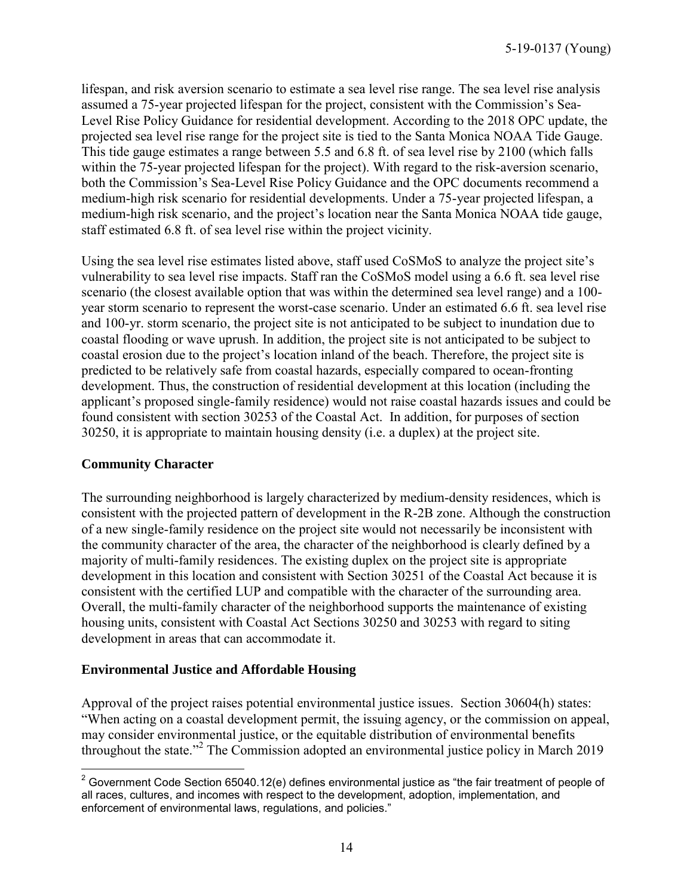lifespan, and risk aversion scenario to estimate a sea level rise range. The sea level rise analysis assumed a 75-year projected lifespan for the project, consistent with the Commission's Sea-Level Rise Policy Guidance for residential development. According to the 2018 OPC update, the projected sea level rise range for the project site is tied to the Santa Monica NOAA Tide Gauge. This tide gauge estimates a range between 5.5 and 6.8 ft. of sea level rise by 2100 (which falls within the 75-year projected lifespan for the project). With regard to the risk-aversion scenario, both the Commission's Sea-Level Rise Policy Guidance and the OPC documents recommend a medium-high risk scenario for residential developments. Under a 75-year projected lifespan, a medium-high risk scenario, and the project's location near the Santa Monica NOAA tide gauge, staff estimated 6.8 ft. of sea level rise within the project vicinity.

Using the sea level rise estimates listed above, staff used CoSMoS to analyze the project site's vulnerability to sea level rise impacts. Staff ran the CoSMoS model using a 6.6 ft. sea level rise scenario (the closest available option that was within the determined sea level range) and a 100 year storm scenario to represent the worst-case scenario. Under an estimated 6.6 ft. sea level rise and 100-yr. storm scenario, the project site is not anticipated to be subject to inundation due to coastal flooding or wave uprush. In addition, the project site is not anticipated to be subject to coastal erosion due to the project's location inland of the beach. Therefore, the project site is predicted to be relatively safe from coastal hazards, especially compared to ocean-fronting development. Thus, the construction of residential development at this location (including the applicant's proposed single-family residence) would not raise coastal hazards issues and could be found consistent with section 30253 of the Coastal Act. In addition, for purposes of section 30250, it is appropriate to maintain housing density (i.e. a duplex) at the project site.

#### **Community Character**

The surrounding neighborhood is largely characterized by medium-density residences, which is consistent with the projected pattern of development in the R-2B zone. Although the construction of a new single-family residence on the project site would not necessarily be inconsistent with the community character of the area, the character of the neighborhood is clearly defined by a majority of multi-family residences. The existing duplex on the project site is appropriate development in this location and consistent with Section 30251 of the Coastal Act because it is consistent with the certified LUP and compatible with the character of the surrounding area. Overall, the multi-family character of the neighborhood supports the maintenance of existing housing units, consistent with Coastal Act Sections 30250 and 30253 with regard to siting development in areas that can accommodate it.

## **Environmental Justice and Affordable Housing**

Approval of the project raises potential environmental justice issues. Section 30604(h) states: "When acting on a coastal development permit, the issuing agency, or the commission on appeal, may consider environmental justice, or the equitable distribution of environmental benefits throughout the state."<sup>2</sup> The Commission adopted an environmental justice policy in March 2019

 $\overline{a}$ <sup>2</sup> Government Code Section 65040.12(e) defines environmental justice as "the fair treatment of people of all races, cultures, and incomes with respect to the development, adoption, implementation, and enforcement of environmental laws, regulations, and policies."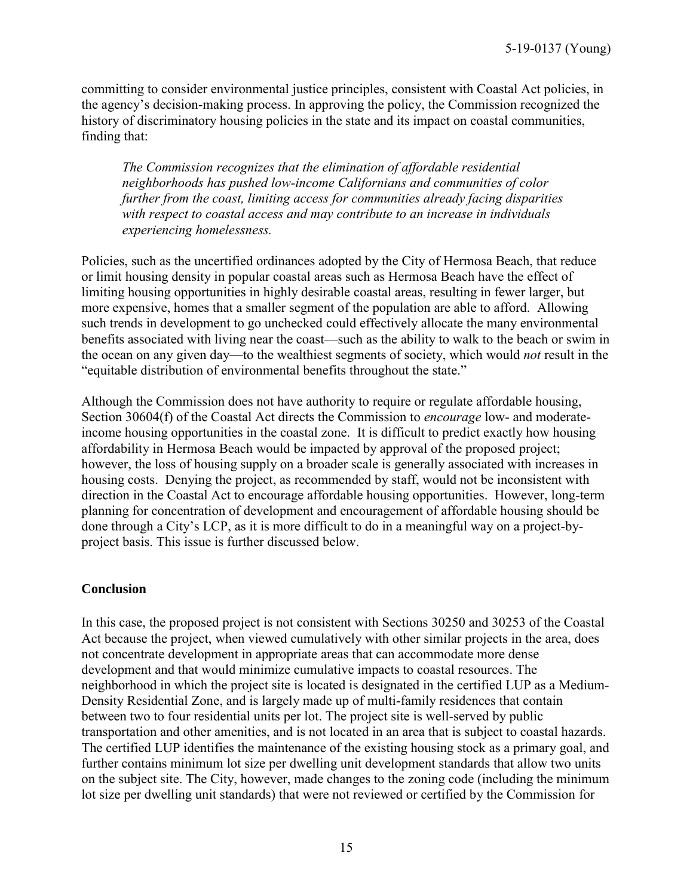committing to consider environmental justice principles, consistent with Coastal Act policies, in the agency's decision-making process. In approving the policy, the Commission recognized the history of discriminatory housing policies in the state and its impact on coastal communities, finding that:

*The Commission recognizes that the elimination of affordable residential neighborhoods has pushed low-income Californians and communities of color further from the coast, limiting access for communities already facing disparities with respect to coastal access and may contribute to an increase in individuals experiencing homelessness.* 

Policies, such as the uncertified ordinances adopted by the City of Hermosa Beach, that reduce or limit housing density in popular coastal areas such as Hermosa Beach have the effect of limiting housing opportunities in highly desirable coastal areas, resulting in fewer larger, but more expensive, homes that a smaller segment of the population are able to afford. Allowing such trends in development to go unchecked could effectively allocate the many environmental benefits associated with living near the coast—such as the ability to walk to the beach or swim in the ocean on any given day—to the wealthiest segments of society, which would *not* result in the "equitable distribution of environmental benefits throughout the state."

Although the Commission does not have authority to require or regulate affordable housing, Section 30604(f) of the Coastal Act directs the Commission to *encourage* low- and moderateincome housing opportunities in the coastal zone. It is difficult to predict exactly how housing affordability in Hermosa Beach would be impacted by approval of the proposed project; however, the loss of housing supply on a broader scale is generally associated with increases in housing costs. Denying the project, as recommended by staff, would not be inconsistent with direction in the Coastal Act to encourage affordable housing opportunities. However, long-term planning for concentration of development and encouragement of affordable housing should be done through a City's LCP, as it is more difficult to do in a meaningful way on a project-byproject basis. This issue is further discussed below.

#### **Conclusion**

In this case, the proposed project is not consistent with Sections 30250 and 30253 of the Coastal Act because the project, when viewed cumulatively with other similar projects in the area, does not concentrate development in appropriate areas that can accommodate more dense development and that would minimize cumulative impacts to coastal resources. The neighborhood in which the project site is located is designated in the certified LUP as a Medium-Density Residential Zone, and is largely made up of multi-family residences that contain between two to four residential units per lot. The project site is well-served by public transportation and other amenities, and is not located in an area that is subject to coastal hazards. The certified LUP identifies the maintenance of the existing housing stock as a primary goal, and further contains minimum lot size per dwelling unit development standards that allow two units on the subject site. The City, however, made changes to the zoning code (including the minimum lot size per dwelling unit standards) that were not reviewed or certified by the Commission for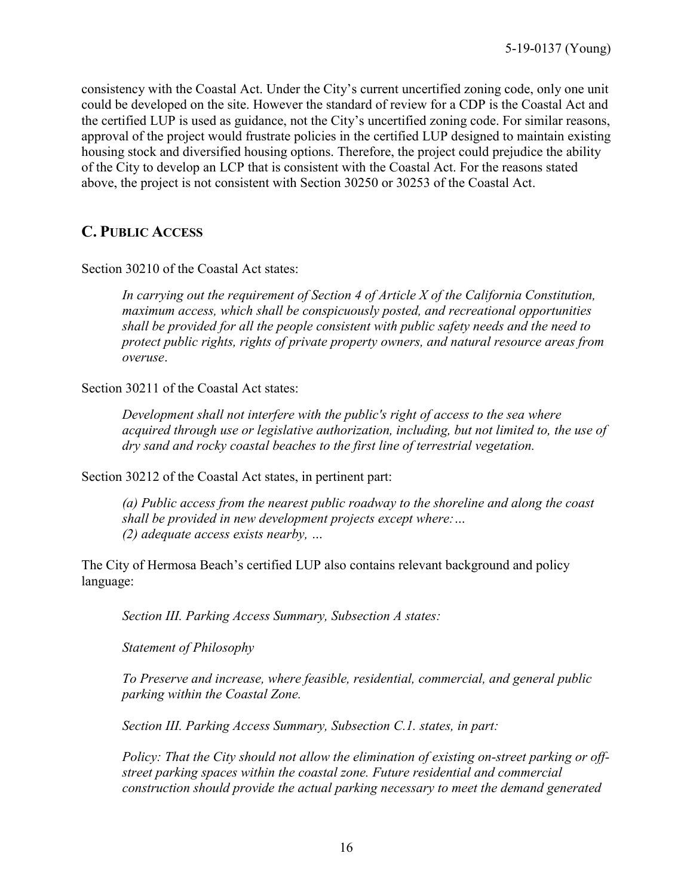consistency with the Coastal Act. Under the City's current uncertified zoning code, only one unit could be developed on the site. However the standard of review for a CDP is the Coastal Act and the certified LUP is used as guidance, not the City's uncertified zoning code. For similar reasons, approval of the project would frustrate policies in the certified LUP designed to maintain existing housing stock and diversified housing options. Therefore, the project could prejudice the ability of the City to develop an LCP that is consistent with the Coastal Act. For the reasons stated above, the project is not consistent with Section 30250 or 30253 of the Coastal Act.

## <span id="page-15-0"></span>**C. PUBLIC ACCESS**

Section 30210 of the Coastal Act states:

*In carrying out the requirement of Section 4 of Article X of the California Constitution, maximum access, which shall be conspicuously posted, and recreational opportunities shall be provided for all the people consistent with public safety needs and the need to protect public rights, rights of private property owners, and natural resource areas from overuse*.

Section 30211 of the Coastal Act states:

*Development shall not interfere with the public's right of access to the sea where acquired through use or legislative authorization, including, but not limited to, the use of dry sand and rocky coastal beaches to the first line of terrestrial vegetation.* 

Section 30212 of the Coastal Act states, in pertinent part:

*(a) Public access from the nearest public roadway to the shoreline and along the coast shall be provided in new development projects except where:… (2) adequate access exists nearby, …*

The City of Hermosa Beach's certified LUP also contains relevant background and policy language:

*Section III. Parking Access Summary, Subsection A states:* 

*Statement of Philosophy* 

*To Preserve and increase, where feasible, residential, commercial, and general public parking within the Coastal Zone.* 

*Section III. Parking Access Summary, Subsection C.1. states, in part:* 

*Policy: That the City should not allow the elimination of existing on-street parking or offstreet parking spaces within the coastal zone. Future residential and commercial construction should provide the actual parking necessary to meet the demand generated*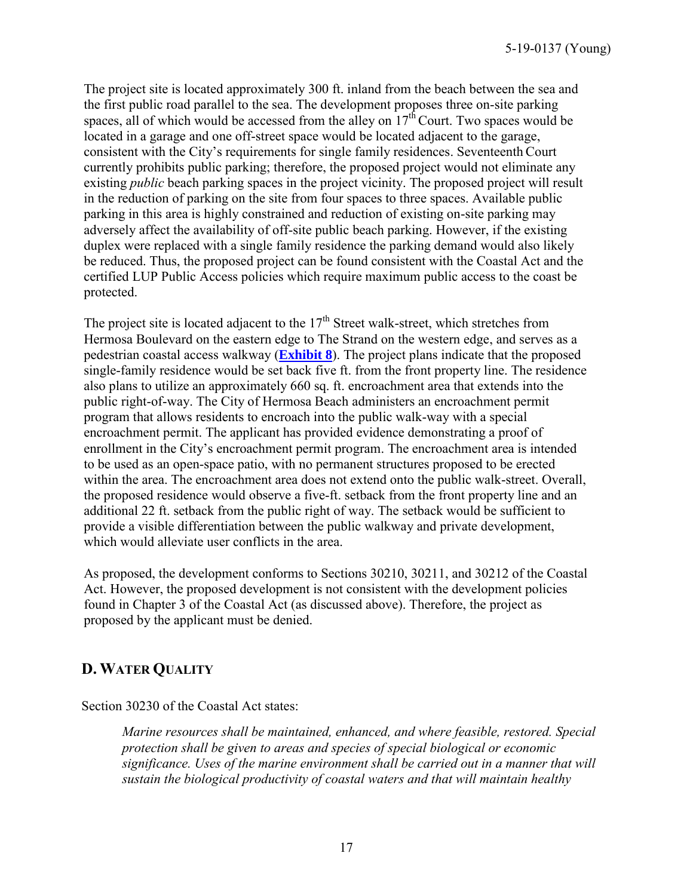5-19-0137 (Young)

The project site is located approximately 300 ft. inland from the beach between the sea and the first public road parallel to the sea. The development proposes three on-site parking spaces, all of which would be accessed from the alley on  $17<sup>th</sup>$  Court. Two spaces would be located in a garage and one off-street space would be located adjacent to the garage, consistent with the City's requirements for single family residences. Seventeenth Court currently prohibits public parking; therefore, the proposed project would not eliminate any existing *public* beach parking spaces in the project vicinity. The proposed project will result in the reduction of parking on the site from four spaces to three spaces. Available public parking in this area is highly constrained and reduction of existing on-site parking may adversely affect the availability of off-site public beach parking. However, if the existing duplex were replaced with a single family residence the parking demand would also likely be reduced. Thus, the proposed project can be found consistent with the Coastal Act and the certified LUP Public Access policies which require maximum public access to the coast be protected.

The project site is located adjacent to the  $17<sup>th</sup>$  Street walk-street, which stretches from Hermosa Boulevard on the eastern edge to The Strand on the western edge, and serves as a pedestrian coastal access walkway (**[Exhibit 8](https://documents.coastal.ca.gov/reports/2019/9/Th19c/Th19c-9-2019-exhibits.pdf)**). The project plans indicate that the proposed single-family residence would be set back five ft. from the front property line. The residence also plans to utilize an approximately 660 sq. ft. encroachment area that extends into the public right-of-way. The City of Hermosa Beach administers an encroachment permit program that allows residents to encroach into the public walk-way with a special encroachment permit. The applicant has provided evidence demonstrating a proof of enrollment in the City's encroachment permit program. The encroachment area is intended to be used as an open-space patio, with no permanent structures proposed to be erected within the area. The encroachment area does not extend onto the public walk-street. Overall, the proposed residence would observe a five-ft. setback from the front property line and an additional 22 ft. setback from the public right of way. The setback would be sufficient to provide a visible differentiation between the public walkway and private development, which would alleviate user conflicts in the area.

As proposed, the development conforms to Sections 30210, 30211, and 30212 of the Coastal Act. However, the proposed development is not consistent with the development policies found in Chapter 3 of the Coastal Act (as discussed above). Therefore, the project as proposed by the applicant must be denied.

## <span id="page-16-0"></span>**D. WATER QUALITY**

Section 30230 of the Coastal Act states:

*Marine resources shall be maintained, enhanced, and where feasible, restored. Special protection shall be given to areas and species of special biological or economic significance. Uses of the marine environment shall be carried out in a manner that will sustain the biological productivity of coastal waters and that will maintain healthy*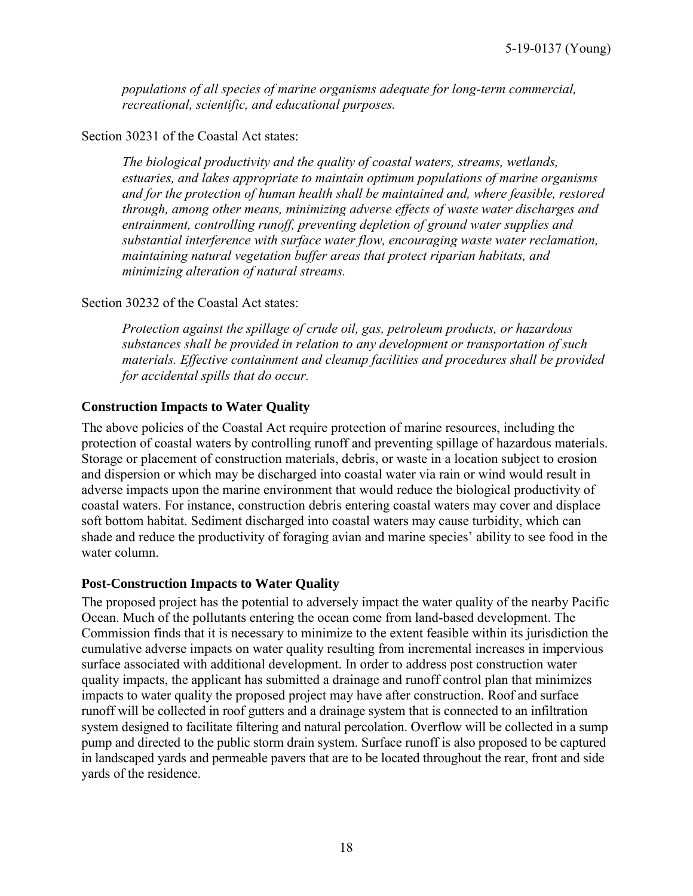*populations of all species of marine organisms adequate for long-term commercial, recreational, scientific, and educational purposes.* 

#### Section 30231 of the Coastal Act states:

*The biological productivity and the quality of coastal waters, streams, wetlands, estuaries, and lakes appropriate to maintain optimum populations of marine organisms and for the protection of human health shall be maintained and, where feasible, restored through, among other means, minimizing adverse effects of waste water discharges and entrainment, controlling runoff, preventing depletion of ground water supplies and substantial interference with surface water flow, encouraging waste water reclamation, maintaining natural vegetation buffer areas that protect riparian habitats, and minimizing alteration of natural streams.* 

#### Section 30232 of the Coastal Act states:

*Protection against the spillage of crude oil, gas, petroleum products, or hazardous substances shall be provided in relation to any development or transportation of such materials. Effective containment and cleanup facilities and procedures shall be provided for accidental spills that do occur.* 

## **Construction Impacts to Water Quality**

The above policies of the Coastal Act require protection of marine resources, including the protection of coastal waters by controlling runoff and preventing spillage of hazardous materials. Storage or placement of construction materials, debris, or waste in a location subject to erosion and dispersion or which may be discharged into coastal water via rain or wind would result in adverse impacts upon the marine environment that would reduce the biological productivity of coastal waters. For instance, construction debris entering coastal waters may cover and displace soft bottom habitat. Sediment discharged into coastal waters may cause turbidity, which can shade and reduce the productivity of foraging avian and marine species' ability to see food in the water column.

#### **Post-Construction Impacts to Water Quality**

The proposed project has the potential to adversely impact the water quality of the nearby Pacific Ocean. Much of the pollutants entering the ocean come from land-based development. The Commission finds that it is necessary to minimize to the extent feasible within its jurisdiction the cumulative adverse impacts on water quality resulting from incremental increases in impervious surface associated with additional development. In order to address post construction water quality impacts, the applicant has submitted a drainage and runoff control plan that minimizes impacts to water quality the proposed project may have after construction. Roof and surface runoff will be collected in roof gutters and a drainage system that is connected to an infiltration system designed to facilitate filtering and natural percolation. Overflow will be collected in a sump pump and directed to the public storm drain system. Surface runoff is also proposed to be captured in landscaped yards and permeable pavers that are to be located throughout the rear, front and side yards of the residence.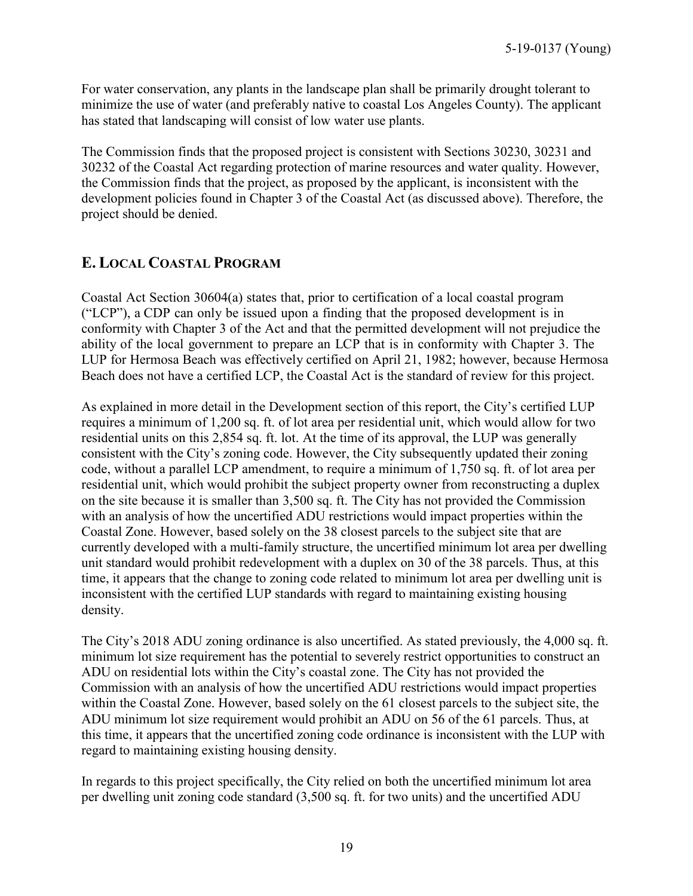For water conservation, any plants in the landscape plan shall be primarily drought tolerant to minimize the use of water (and preferably native to coastal Los Angeles County). The applicant has stated that landscaping will consist of low water use plants.

The Commission finds that the proposed project is consistent with Sections 30230, 30231 and 30232 of the Coastal Act regarding protection of marine resources and water quality. However, the Commission finds that the project, as proposed by the applicant, is inconsistent with the development policies found in Chapter 3 of the Coastal Act (as discussed above). Therefore, the project should be denied.

## <span id="page-18-0"></span>**E. LOCAL COASTAL PROGRAM**

Coastal Act Section 30604(a) states that, prior to certification of a local coastal program ("LCP"), a CDP can only be issued upon a finding that the proposed development is in conformity with Chapter 3 of the Act and that the permitted development will not prejudice the ability of the local government to prepare an LCP that is in conformity with Chapter 3. The LUP for Hermosa Beach was effectively certified on April 21, 1982; however, because Hermosa Beach does not have a certified LCP, the Coastal Act is the standard of review for this project.

As explained in more detail in the Development section of this report, the City's certified LUP requires a minimum of 1,200 sq. ft. of lot area per residential unit, which would allow for two residential units on this 2,854 sq. ft. lot. At the time of its approval, the LUP was generally consistent with the City's zoning code. However, the City subsequently updated their zoning code, without a parallel LCP amendment, to require a minimum of 1,750 sq. ft. of lot area per residential unit, which would prohibit the subject property owner from reconstructing a duplex on the site because it is smaller than 3,500 sq. ft. The City has not provided the Commission with an analysis of how the uncertified ADU restrictions would impact properties within the Coastal Zone. However, based solely on the 38 closest parcels to the subject site that are currently developed with a multi-family structure, the uncertified minimum lot area per dwelling unit standard would prohibit redevelopment with a duplex on 30 of the 38 parcels. Thus, at this time, it appears that the change to zoning code related to minimum lot area per dwelling unit is inconsistent with the certified LUP standards with regard to maintaining existing housing density.

The City's 2018 ADU zoning ordinance is also uncertified. As stated previously, the 4,000 sq. ft. minimum lot size requirement has the potential to severely restrict opportunities to construct an ADU on residential lots within the City's coastal zone. The City has not provided the Commission with an analysis of how the uncertified ADU restrictions would impact properties within the Coastal Zone. However, based solely on the 61 closest parcels to the subject site, the ADU minimum lot size requirement would prohibit an ADU on 56 of the 61 parcels. Thus, at this time, it appears that the uncertified zoning code ordinance is inconsistent with the LUP with regard to maintaining existing housing density.

In regards to this project specifically, the City relied on both the uncertified minimum lot area per dwelling unit zoning code standard (3,500 sq. ft. for two units) and the uncertified ADU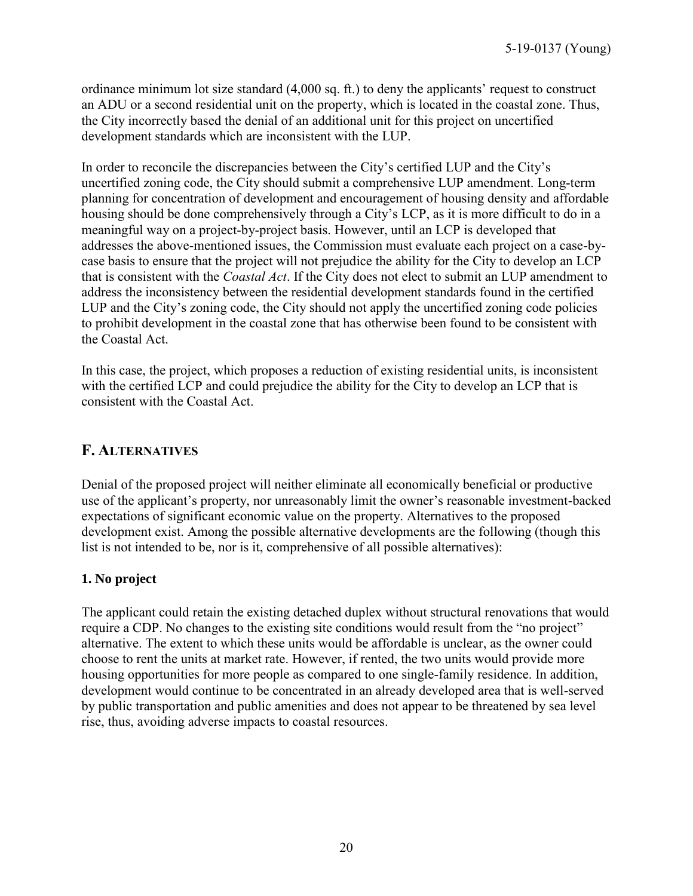ordinance minimum lot size standard (4,000 sq. ft.) to deny the applicants' request to construct an ADU or a second residential unit on the property, which is located in the coastal zone. Thus, the City incorrectly based the denial of an additional unit for this project on uncertified development standards which are inconsistent with the LUP.

In order to reconcile the discrepancies between the City's certified LUP and the City's uncertified zoning code, the City should submit a comprehensive LUP amendment. Long-term planning for concentration of development and encouragement of housing density and affordable housing should be done comprehensively through a City's LCP, as it is more difficult to do in a meaningful way on a project-by-project basis. However, until an LCP is developed that addresses the above-mentioned issues, the Commission must evaluate each project on a case-bycase basis to ensure that the project will not prejudice the ability for the City to develop an LCP that is consistent with the *Coastal Act*. If the City does not elect to submit an LUP amendment to address the inconsistency between the residential development standards found in the certified LUP and the City's zoning code, the City should not apply the uncertified zoning code policies to prohibit development in the coastal zone that has otherwise been found to be consistent with the Coastal Act.

In this case, the project, which proposes a reduction of existing residential units, is inconsistent with the certified LCP and could prejudice the ability for the City to develop an LCP that is consistent with the Coastal Act.

## <span id="page-19-0"></span>**F. ALTERNATIVES**

Denial of the proposed project will neither eliminate all economically beneficial or productive use of the applicant's property, nor unreasonably limit the owner's reasonable investment-backed expectations of significant economic value on the property. Alternatives to the proposed development exist. Among the possible alternative developments are the following (though this list is not intended to be, nor is it, comprehensive of all possible alternatives):

#### **1. No project**

The applicant could retain the existing detached duplex without structural renovations that would require a CDP. No changes to the existing site conditions would result from the "no project" alternative. The extent to which these units would be affordable is unclear, as the owner could choose to rent the units at market rate. However, if rented, the two units would provide more housing opportunities for more people as compared to one single-family residence. In addition, development would continue to be concentrated in an already developed area that is well-served by public transportation and public amenities and does not appear to be threatened by sea level rise, thus, avoiding adverse impacts to coastal resources.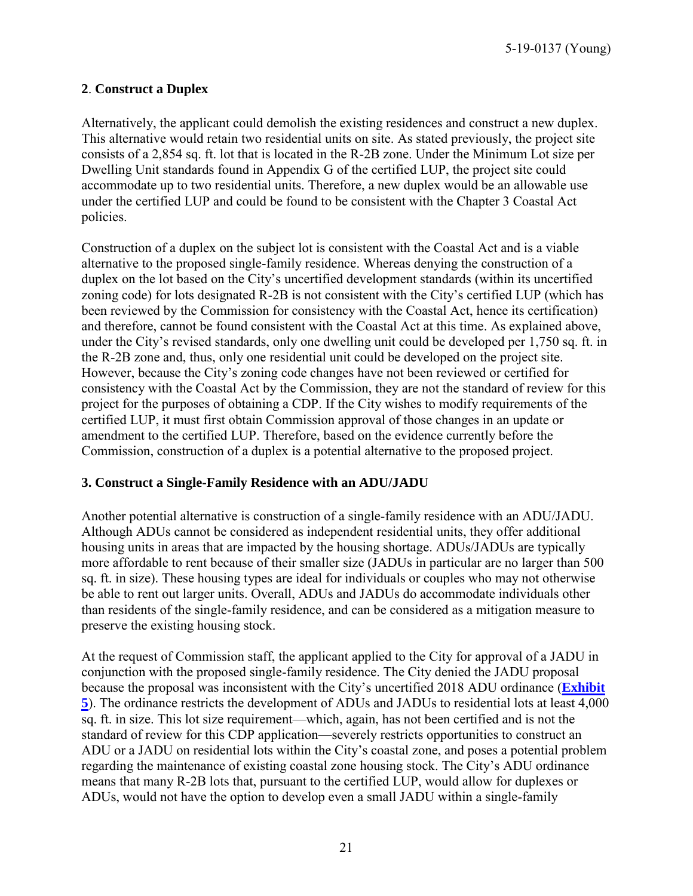5-19-0137 (Young)

#### **2**. **Construct a Duplex**

Alternatively, the applicant could demolish the existing residences and construct a new duplex. This alternative would retain two residential units on site. As stated previously, the project site consists of a 2,854 sq. ft. lot that is located in the R-2B zone. Under the Minimum Lot size per Dwelling Unit standards found in Appendix G of the certified LUP, the project site could accommodate up to two residential units. Therefore, a new duplex would be an allowable use under the certified LUP and could be found to be consistent with the Chapter 3 Coastal Act policies.

Construction of a duplex on the subject lot is consistent with the Coastal Act and is a viable alternative to the proposed single-family residence. Whereas denying the construction of a duplex on the lot based on the City's uncertified development standards (within its uncertified zoning code) for lots designated R-2B is not consistent with the City's certified LUP (which has been reviewed by the Commission for consistency with the Coastal Act, hence its certification) and therefore, cannot be found consistent with the Coastal Act at this time. As explained above, under the City's revised standards, only one dwelling unit could be developed per 1,750 sq. ft. in the R-2B zone and, thus, only one residential unit could be developed on the project site. However, because the City's zoning code changes have not been reviewed or certified for consistency with the Coastal Act by the Commission, they are not the standard of review for this project for the purposes of obtaining a CDP. If the City wishes to modify requirements of the certified LUP, it must first obtain Commission approval of those changes in an update or amendment to the certified LUP. Therefore, based on the evidence currently before the Commission, construction of a duplex is a potential alternative to the proposed project.

#### **3. Construct a Single-Family Residence with an ADU/JADU**

Another potential alternative is construction of a single-family residence with an ADU/JADU. Although ADUs cannot be considered as independent residential units, they offer additional housing units in areas that are impacted by the housing shortage. ADUs/JADUs are typically more affordable to rent because of their smaller size (JADUs in particular are no larger than 500 sq. ft. in size). These housing types are ideal for individuals or couples who may not otherwise be able to rent out larger units. Overall, ADUs and JADUs do accommodate individuals other than residents of the single-family residence, and can be considered as a mitigation measure to preserve the existing housing stock.

At the request of Commission staff, the applicant applied to the City for approval of a JADU in conjunction with the proposed single-family residence. The City denied the JADU proposal because the proposal was inconsistent with the City's uncertified 2018 ADU ordinance (**[Exhibit](https://documents.coastal.ca.gov/reports/2019/9/Th19c/Th19c-9-2019-exhibits.pdf) [5](https://documents.coastal.ca.gov/reports/2019/9/Th19c/Th19c-9-2019-exhibits.pdf)**). The ordinance restricts the development of ADUs and JADUs to residential lots at least 4,000 sq. ft. in size. This lot size requirement—which, again, has not been certified and is not the standard of review for this CDP application—severely restricts opportunities to construct an ADU or a JADU on residential lots within the City's coastal zone, and poses a potential problem regarding the maintenance of existing coastal zone housing stock. The City's ADU ordinance means that many R-2B lots that, pursuant to the certified LUP, would allow for duplexes or ADUs, would not have the option to develop even a small JADU within a single-family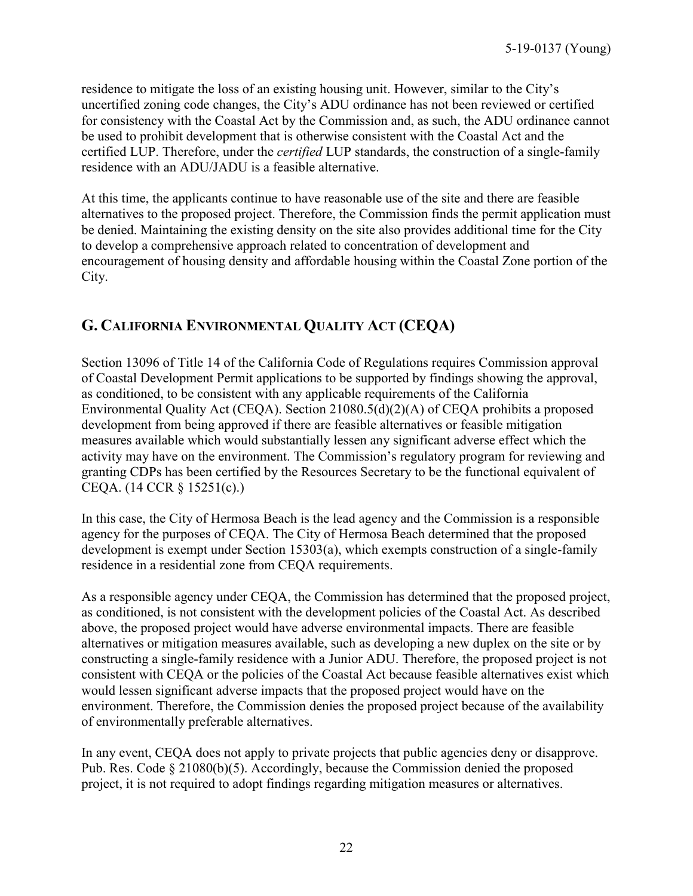residence to mitigate the loss of an existing housing unit. However, similar to the City's uncertified zoning code changes, the City's ADU ordinance has not been reviewed or certified for consistency with the Coastal Act by the Commission and, as such, the ADU ordinance cannot be used to prohibit development that is otherwise consistent with the Coastal Act and the certified LUP. Therefore, under the *certified* LUP standards, the construction of a single-family residence with an ADU/JADU is a feasible alternative.

At this time, the applicants continue to have reasonable use of the site and there are feasible alternatives to the proposed project. Therefore, the Commission finds the permit application must be denied. Maintaining the existing density on the site also provides additional time for the City to develop a comprehensive approach related to concentration of development and encouragement of housing density and affordable housing within the Coastal Zone portion of the City.

## <span id="page-21-0"></span>**G. CALIFORNIA ENVIRONMENTAL QUALITY ACT (CEQA)**

Section 13096 of Title 14 of the California Code of Regulations requires Commission approval of Coastal Development Permit applications to be supported by findings showing the approval, as conditioned, to be consistent with any applicable requirements of the California Environmental Quality Act (CEQA). Section 21080.5(d)(2)(A) of CEQA prohibits a proposed development from being approved if there are feasible alternatives or feasible mitigation measures available which would substantially lessen any significant adverse effect which the activity may have on the environment. The Commission's regulatory program for reviewing and granting CDPs has been certified by the Resources Secretary to be the functional equivalent of CEQA. (14 CCR § 15251(c).)

In this case, the City of Hermosa Beach is the lead agency and the Commission is a responsible agency for the purposes of CEQA. The City of Hermosa Beach determined that the proposed development is exempt under Section 15303(a), which exempts construction of a single-family residence in a residential zone from CEQA requirements.

As a responsible agency under CEQA, the Commission has determined that the proposed project, as conditioned, is not consistent with the development policies of the Coastal Act. As described above, the proposed project would have adverse environmental impacts. There are feasible alternatives or mitigation measures available, such as developing a new duplex on the site or by constructing a single-family residence with a Junior ADU. Therefore, the proposed project is not consistent with CEQA or the policies of the Coastal Act because feasible alternatives exist which would lessen significant adverse impacts that the proposed project would have on the environment. Therefore, the Commission denies the proposed project because of the availability of environmentally preferable alternatives.

In any event, CEQA does not apply to private projects that public agencies deny or disapprove. Pub. Res. Code § 21080(b)(5). Accordingly, because the Commission denied the proposed project, it is not required to adopt findings regarding mitigation measures or alternatives.